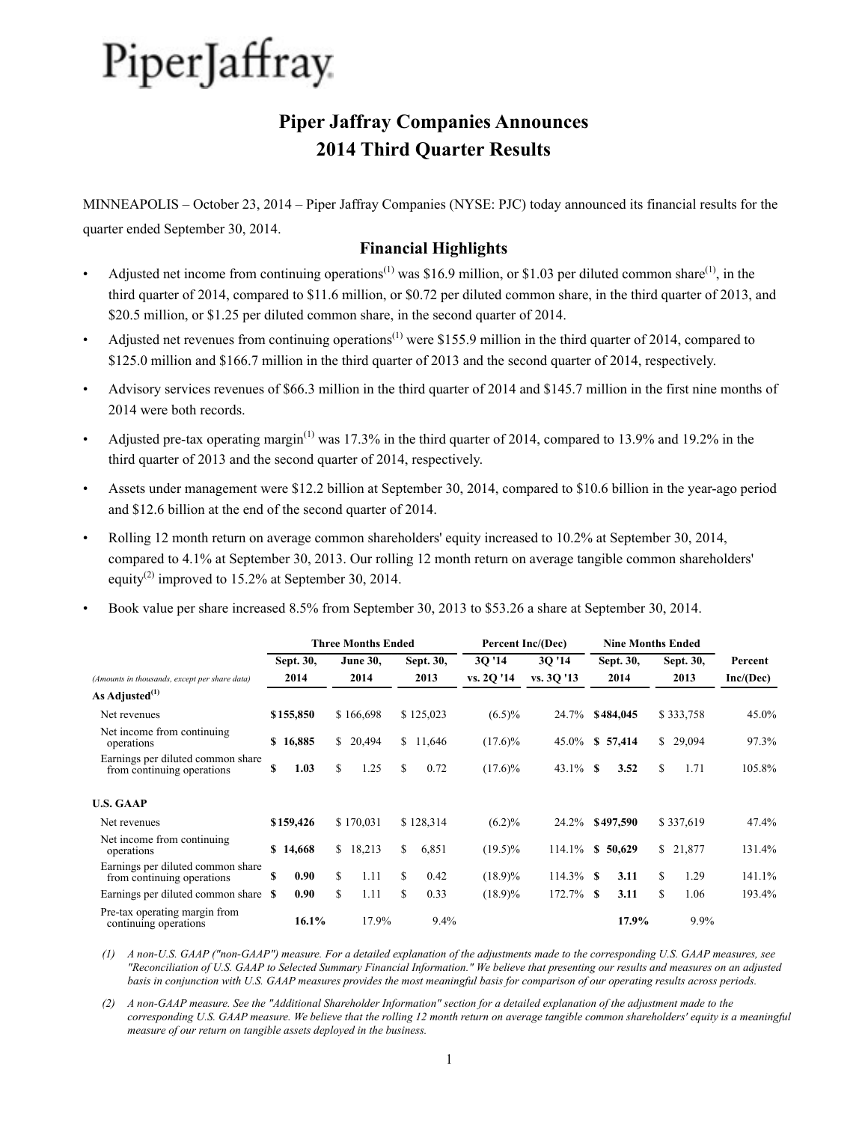# **Piper Jaffray Companies Announces 2014 Third Quarter Results**

MINNEAPOLIS – October 23, 2014 – Piper Jaffray Companies (NYSE: PJC) today announced its financial results for the quarter ended September 30, 2014.

#### **Financial Highlights**

- Adjusted net income from continuing operations<sup>(1)</sup> was \$16.9 million, or \$1.03 per diluted common share<sup>(1)</sup>, in the third quarter of 2014, compared to \$11.6 million, or \$0.72 per diluted common share, in the third quarter of 2013, and \$20.5 million, or \$1.25 per diluted common share, in the second quarter of 2014.
- Adjusted net revenues from continuing operations<sup>(1)</sup> were \$155.9 million in the third quarter of 2014, compared to \$125.0 million and \$166.7 million in the third quarter of 2013 and the second quarter of 2014, respectively.
- Advisory services revenues of \$66.3 million in the third quarter of 2014 and \$145.7 million in the first nine months of 2014 were both records.
- Adjusted pre-tax operating margin<sup>(1)</sup> was 17.3% in the third quarter of 2014, compared to 13.9% and 19.2% in the third quarter of 2013 and the second quarter of 2014, respectively.
- Assets under management were \$12.2 billion at September 30, 2014, compared to \$10.6 billion in the year-ago period and \$12.6 billion at the end of the second quarter of 2014.
- Rolling 12 month return on average common shareholders' equity increased to 10.2% at September 30, 2014, compared to 4.1% at September 30, 2013. Our rolling 12 month return on average tangible common shareholders' equity<sup>(2)</sup> improved to 15.2% at September 30, 2014.
- Book value per share increased 8.5% from September 30, 2013 to \$53.26 a share at September 30, 2014.

|                                                                 |    |           |     | <b>Three Months Ended</b> |    |           | Percent Inc/(Dec) |              | <b>Nine Months Ended</b> |           |    |           |           |
|-----------------------------------------------------------------|----|-----------|-----|---------------------------|----|-----------|-------------------|--------------|--------------------------|-----------|----|-----------|-----------|
|                                                                 |    | Sept. 30, |     | <b>June 30,</b>           |    | Sept. 30, | 3Q '14            | 30'14        | Sept. 30,                |           |    | Sept. 30, | Percent   |
| (Amounts in thousands, except per share data)                   |    | 2014      |     | 2014                      |    | 2013      | vs. 2Q '14        | vs. 30 '13   |                          | 2014      |    | 2013      | Inc/(Dec) |
| As Adjusted <sup>(1)</sup>                                      |    |           |     |                           |    |           |                   |              |                          |           |    |           |           |
| Net revenues                                                    |    | \$155,850 |     | \$166,698                 |    | \$125,023 | $(6.5)\%$         | 24.7%        |                          | \$484,045 |    | \$333,758 | $45.0\%$  |
| Net income from continuing.<br>operations                       |    | \$16,885  |     | \$20,494                  |    | \$11,646  | $(17.6)\%$        | 45.0%        |                          | \$57,414  |    | \$29,094  | 97.3%     |
| Earnings per diluted common share<br>from continuing operations | \$ | 1.03      | S.  | 1.25                      | S. | 0.72      | $(17.6)\%$        | $43.1\%$ \$  |                          | 3.52      | \$ | 1.71      | 105.8%    |
| <b>U.S. GAAP</b>                                                |    |           |     |                           |    |           |                   |              |                          |           |    |           |           |
| Net revenues                                                    |    | \$159,426 |     | \$170,031                 |    | \$128,314 | $(6.2)\%$         | 24.2%        |                          | \$497,590 |    | \$337,619 | 47.4%     |
| Net income from continuing.<br>operations                       |    | \$14,668  |     | \$18,213                  | \$ | 6,851     | $(19.5)\%$        | 114.1%       | S.                       | 50,629    |    | \$21,877  | 131.4%    |
| Earnings per diluted common share<br>from continuing operations | \$ | 0.90      | \$  | 1.11                      | S. | 0.42      | $(18.9)\%$        | $114.3\%$ \$ |                          | 3.11      | \$ | 1.29      | 141.1%    |
| Earnings per diluted common share \$                            |    | 0.90      | \$. | 1.11                      | S. | 0.33      | $(18.9)\%$        | $172.7\%$ \$ |                          | 3.11      | S. | 1.06      | 193.4%    |
| Pre-tax operating margin from<br>continuing operations          |    | 16.1%     |     | 17.9%                     |    | 9.4%      |                   |              |                          | 17.9%     |    | 9.9%      |           |

*(1) A non-U.S. GAAP ("non-GAAP") measure. For a detailed explanation of the adjustments made to the corresponding U.S. GAAP measures, see "Reconciliation of U.S. GAAP to Selected Summary Financial Information." We believe that presenting our results and measures on an adjusted basis in conjunction with U.S. GAAP measures provides the most meaningful basis for comparison of our operating results across periods.* 

*(2) A non-GAAP measure. See the "Additional Shareholder Information" section for a detailed explanation of the adjustment made to the corresponding U.S. GAAP measure. We believe that the rolling 12 month return on average tangible common shareholders' equity is a meaningful measure of our return on tangible assets deployed in the business.*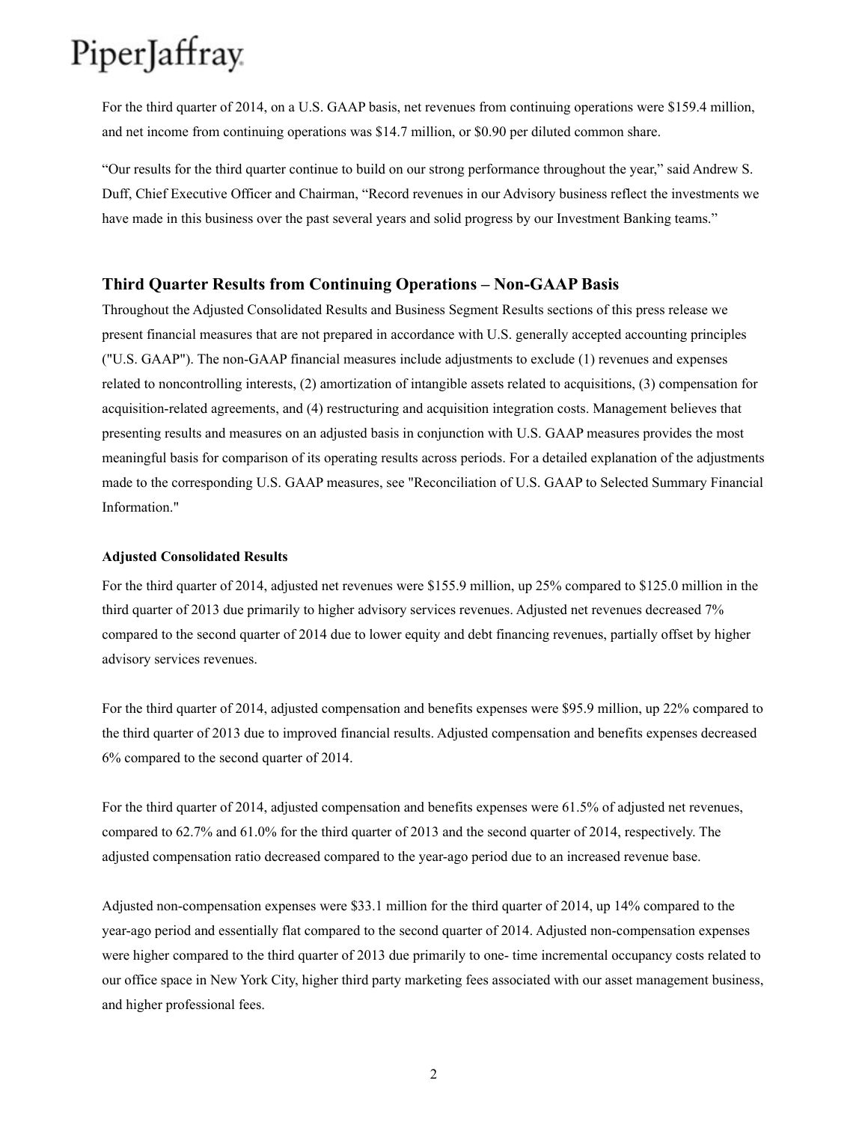For the third quarter of 2014, on a U.S. GAAP basis, net revenues from continuing operations were \$159.4 million, and net income from continuing operations was \$14.7 million, or \$0.90 per diluted common share.

"Our results for the third quarter continue to build on our strong performance throughout the year," said Andrew S. Duff, Chief Executive Officer and Chairman, "Record revenues in our Advisory business reflect the investments we have made in this business over the past several years and solid progress by our Investment Banking teams."

#### **Third Quarter Results from Continuing Operations – Non-GAAP Basis**

Throughout the Adjusted Consolidated Results and Business Segment Results sections of this press release we present financial measures that are not prepared in accordance with U.S. generally accepted accounting principles ("U.S. GAAP"). The non-GAAP financial measures include adjustments to exclude (1) revenues and expenses related to noncontrolling interests, (2) amortization of intangible assets related to acquisitions, (3) compensation for acquisition-related agreements, and (4) restructuring and acquisition integration costs. Management believes that presenting results and measures on an adjusted basis in conjunction with U.S. GAAP measures provides the most meaningful basis for comparison of its operating results across periods. For a detailed explanation of the adjustments made to the corresponding U.S. GAAP measures, see "Reconciliation of U.S. GAAP to Selected Summary Financial Information."

#### **Adjusted Consolidated Results**

For the third quarter of 2014, adjusted net revenues were \$155.9 million, up 25% compared to \$125.0 million in the third quarter of 2013 due primarily to higher advisory services revenues. Adjusted net revenues decreased 7% compared to the second quarter of 2014 due to lower equity and debt financing revenues, partially offset by higher advisory services revenues.

For the third quarter of 2014, adjusted compensation and benefits expenses were \$95.9 million, up 22% compared to the third quarter of 2013 due to improved financial results. Adjusted compensation and benefits expenses decreased 6% compared to the second quarter of 2014.

For the third quarter of 2014, adjusted compensation and benefits expenses were 61.5% of adjusted net revenues, compared to 62.7% and 61.0% for the third quarter of 2013 and the second quarter of 2014, respectively. The adjusted compensation ratio decreased compared to the year-ago period due to an increased revenue base.

Adjusted non-compensation expenses were \$33.1 million for the third quarter of 2014, up 14% compared to the year-ago period and essentially flat compared to the second quarter of 2014. Adjusted non-compensation expenses were higher compared to the third quarter of 2013 due primarily to one- time incremental occupancy costs related to our office space in New York City, higher third party marketing fees associated with our asset management business, and higher professional fees.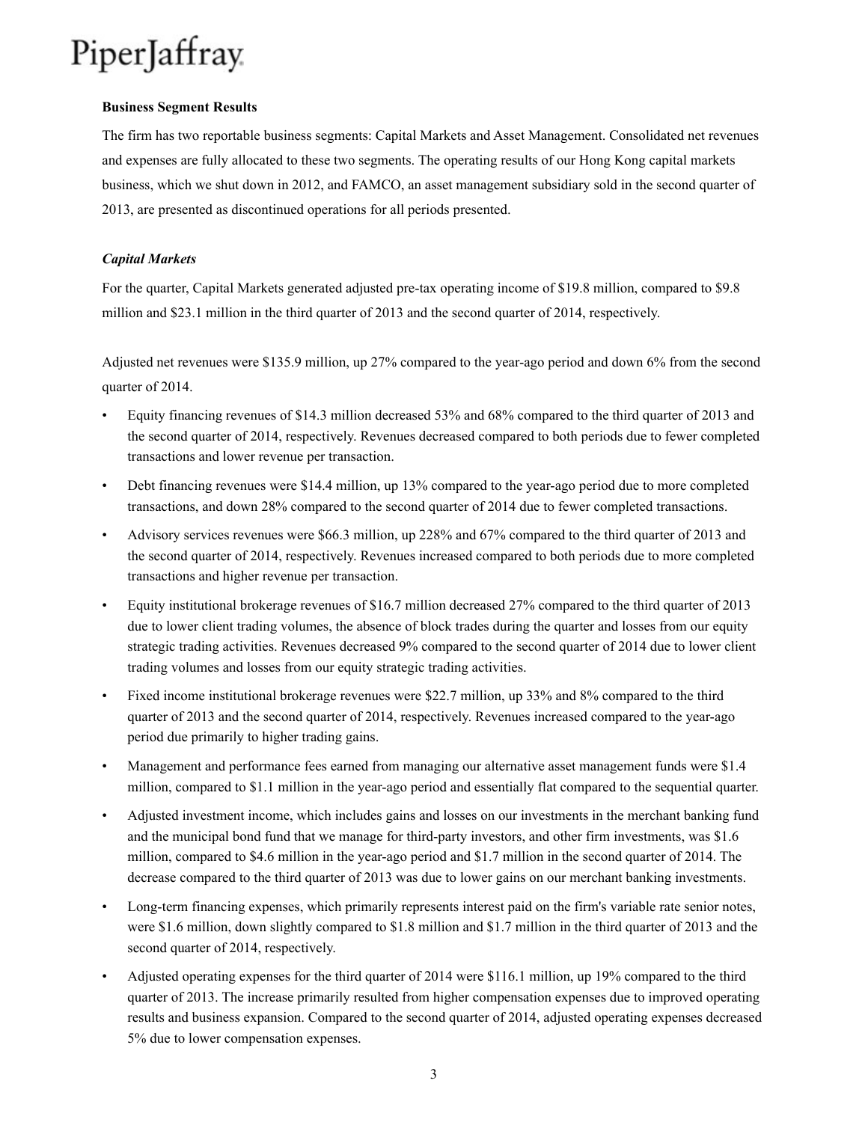#### **Business Segment Results**

The firm has two reportable business segments: Capital Markets and Asset Management. Consolidated net revenues and expenses are fully allocated to these two segments. The operating results of our Hong Kong capital markets business, which we shut down in 2012, and FAMCO, an asset management subsidiary sold in the second quarter of 2013, are presented as discontinued operations for all periods presented.

#### *Capital Markets*

For the quarter, Capital Markets generated adjusted pre-tax operating income of \$19.8 million, compared to \$9.8 million and \$23.1 million in the third quarter of 2013 and the second quarter of 2014, respectively.

Adjusted net revenues were \$135.9 million, up 27% compared to the year-ago period and down 6% from the second quarter of 2014.

- Equity financing revenues of \$14.3 million decreased 53% and 68% compared to the third quarter of 2013 and the second quarter of 2014, respectively. Revenues decreased compared to both periods due to fewer completed transactions and lower revenue per transaction.
- Debt financing revenues were \$14.4 million, up 13% compared to the year-ago period due to more completed transactions, and down 28% compared to the second quarter of 2014 due to fewer completed transactions.
- Advisory services revenues were \$66.3 million, up 228% and 67% compared to the third quarter of 2013 and the second quarter of 2014, respectively. Revenues increased compared to both periods due to more completed transactions and higher revenue per transaction.
- Equity institutional brokerage revenues of \$16.7 million decreased 27% compared to the third quarter of 2013 due to lower client trading volumes, the absence of block trades during the quarter and losses from our equity strategic trading activities. Revenues decreased 9% compared to the second quarter of 2014 due to lower client trading volumes and losses from our equity strategic trading activities.
- Fixed income institutional brokerage revenues were \$22.7 million, up 33% and 8% compared to the third quarter of 2013 and the second quarter of 2014, respectively. Revenues increased compared to the year-ago period due primarily to higher trading gains.
- Management and performance fees earned from managing our alternative asset management funds were \$1.4 million, compared to \$1.1 million in the year-ago period and essentially flat compared to the sequential quarter.
- Adjusted investment income, which includes gains and losses on our investments in the merchant banking fund and the municipal bond fund that we manage for third-party investors, and other firm investments, was \$1.6 million, compared to \$4.6 million in the year-ago period and \$1.7 million in the second quarter of 2014. The decrease compared to the third quarter of 2013 was due to lower gains on our merchant banking investments.
- Long-term financing expenses, which primarily represents interest paid on the firm's variable rate senior notes, were \$1.6 million, down slightly compared to \$1.8 million and \$1.7 million in the third quarter of 2013 and the second quarter of 2014, respectively.
- Adjusted operating expenses for the third quarter of 2014 were \$116.1 million, up 19% compared to the third quarter of 2013. The increase primarily resulted from higher compensation expenses due to improved operating results and business expansion. Compared to the second quarter of 2014, adjusted operating expenses decreased 5% due to lower compensation expenses.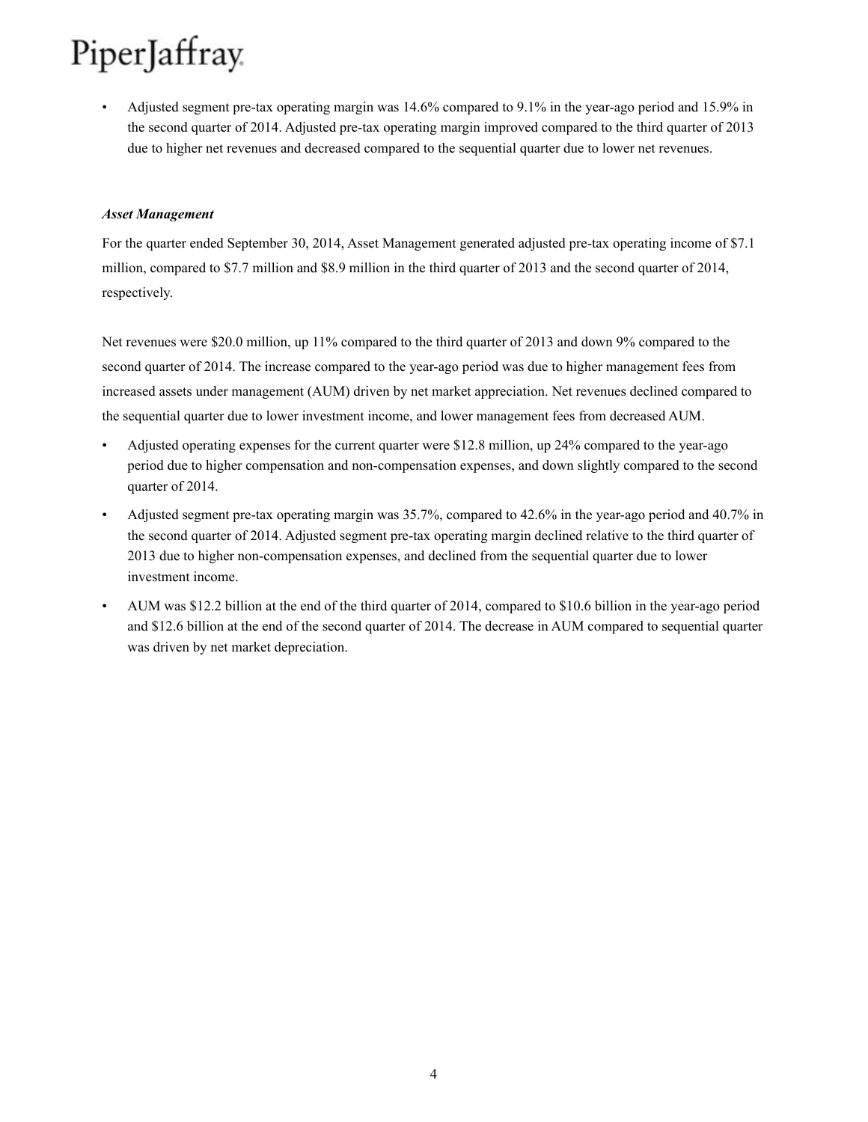• Adjusted segment pre-tax operating margin was 14.6% compared to 9.1% in the year-ago period and 15.9% in the second quarter of 2014. Adjusted pre-tax operating margin improved compared to the third quarter of 2013 due to higher net revenues and decreased compared to the sequential quarter due to lower net revenues.

#### *Asset Management*

For the quarter ended September 30, 2014, Asset Management generated adjusted pre-tax operating income of \$7.1 million, compared to \$7.7 million and \$8.9 million in the third quarter of 2013 and the second quarter of 2014, respectively.

Net revenues were \$20.0 million, up 11% compared to the third quarter of 2013 and down 9% compared to the second quarter of 2014. The increase compared to the year-ago period was due to higher management fees from increased assets under management (AUM) driven by net market appreciation. Net revenues declined compared to the sequential quarter due to lower investment income, and lower management fees from decreased AUM.

- Adjusted operating expenses for the current quarter were \$12.8 million, up 24% compared to the year-ago period due to higher compensation and non-compensation expenses, and down slightly compared to the second quarter of 2014.
- Adjusted segment pre-tax operating margin was 35.7%, compared to 42.6% in the year-ago period and 40.7% in the second quarter of 2014. Adjusted segment pre-tax operating margin declined relative to the third quarter of 2013 due to higher non-compensation expenses, and declined from the sequential quarter due to lower investment income.
- AUM was \$12.2 billion at the end of the third quarter of 2014, compared to \$10.6 billion in the year-ago period and \$12.6 billion at the end of the second quarter of 2014. The decrease in AUM compared to sequential quarter was driven by net market depreciation.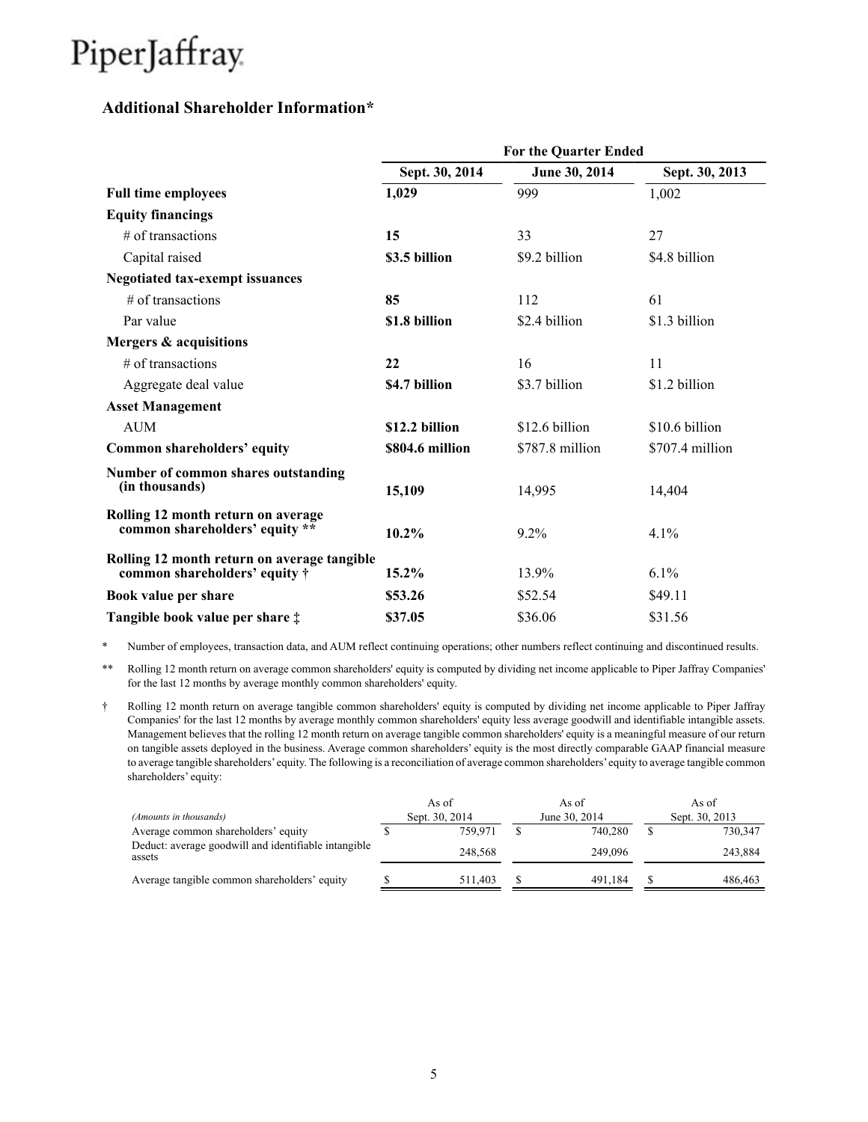### **Additional Shareholder Information\***

|                                                                                      |                 | <b>For the Quarter Ended</b> |                 |
|--------------------------------------------------------------------------------------|-----------------|------------------------------|-----------------|
|                                                                                      | Sept. 30, 2014  | June 30, 2014                | Sept. 30, 2013  |
| <b>Full time employees</b>                                                           | 1,029           | 999                          | 1,002           |
| <b>Equity financings</b>                                                             |                 |                              |                 |
| $#$ of transactions                                                                  | 15              | 33                           | 27              |
| Capital raised                                                                       | \$3.5 billion   | \$9.2 billion                | \$4.8 billion   |
| <b>Negotiated tax-exempt issuances</b>                                               |                 |                              |                 |
| $#$ of transactions                                                                  | 85              | 112                          | 61              |
| Par value                                                                            | \$1.8 billion   | \$2.4 billion                | \$1.3 billion   |
| Mergers & acquisitions                                                               |                 |                              |                 |
| $#$ of transactions                                                                  | 22              | 16                           | 11              |
| Aggregate deal value                                                                 | \$4.7 billion   | \$3.7 billion                | \$1.2 billion   |
| <b>Asset Management</b>                                                              |                 |                              |                 |
| <b>AUM</b>                                                                           | \$12.2 billion  | \$12.6 billion               | \$10.6 billion  |
| Common shareholders' equity                                                          | \$804.6 million | \$787.8 million              | \$707.4 million |
| Number of common shares outstanding<br>(in thousands)                                | 15,109          | 14,995                       | 14,404          |
| Rolling 12 month return on average<br>common shareholders' equity **                 | 10.2%           | 9.2%                         | 4.1%            |
| Rolling 12 month return on average tangible<br>common shareholders' equity $\dagger$ | 15.2%           | 13.9%                        | 6.1%            |
| Book value per share                                                                 | \$53.26         | \$52.54                      | \$49.11         |
| Tangible book value per share $\ddagger$                                             | \$37.05         | \$36.06                      | \$31.56         |

\* Number of employees, transaction data, and AUM reflect continuing operations; other numbers reflect continuing and discontinued results.

\*\* Rolling 12 month return on average common shareholders' equity is computed by dividing net income applicable to Piper Jaffray Companies' for the last 12 months by average monthly common shareholders' equity.

† Rolling 12 month return on average tangible common shareholders' equity is computed by dividing net income applicable to Piper Jaffray Companies' for the last 12 months by average monthly common shareholders' equity less average goodwill and identifiable intangible assets. Management believes that the rolling 12 month return on average tangible common shareholders' equity is a meaningful measure of our return on tangible assets deployed in the business. Average common shareholders' equity is the most directly comparable GAAP financial measure to average tangible shareholders'equity. The following is a reconciliation of average common shareholders'equity to average tangible common shareholders' equity:

|                                                                |  | As of          | As of         | As of          |
|----------------------------------------------------------------|--|----------------|---------------|----------------|
| (Amounts in thousands)                                         |  | Sept. 30, 2014 | June 30, 2014 | Sept. 30, 2013 |
| Average common shareholders' equity                            |  | 759.971        | 740.280       | 730.347        |
| Deduct: average goodwill and identifiable intangible<br>assets |  | 248.568        | 249,096       | 243,884        |
| Average tangible common shareholders' equity                   |  | 511.403        | 491.184       | 486.463        |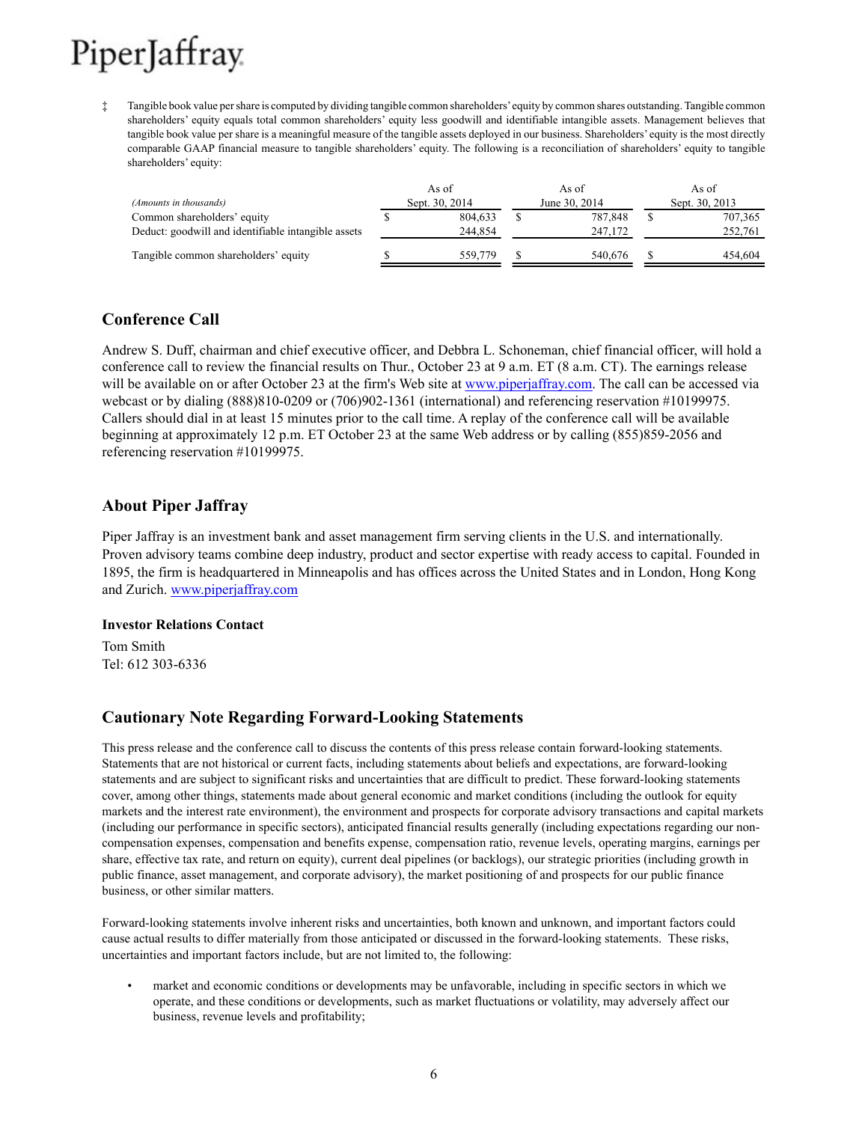‡ Tangible book value per share is computed by dividing tangible common shareholders'equity by common shares outstanding. Tangible common shareholders' equity equals total common shareholders' equity less goodwill and identifiable intangible assets. Management believes that tangible book value per share is a meaningful measure of the tangible assets deployed in our business. Shareholders' equity is the most directly comparable GAAP financial measure to tangible shareholders' equity. The following is a reconciliation of shareholders' equity to tangible shareholders' equity:

| (Amounts in thousands)                                                             | As of<br>Sept. 30, 2014 | As of<br>June 30, 2014 | As of<br>Sept. 30, 2013 |
|------------------------------------------------------------------------------------|-------------------------|------------------------|-------------------------|
| Common shareholders' equity<br>Deduct: goodwill and identifiable intangible assets | 804.633<br>244.854      | 787.848<br>247.172     | 707,365<br>252,761      |
| Tangible common shareholders' equity                                               | 559,779                 | 540.676                | 454.604                 |

### **Conference Call**

Andrew S. Duff, chairman and chief executive officer, and Debbra L. Schoneman, chief financial officer, will hold a conference call to review the financial results on Thur., October 23 at 9 a.m. ET (8 a.m. CT). The earnings release will be available on or after October 23 at the firm's Web site at www.piperjaffray.com. The call can be accessed via webcast or by dialing (888)810-0209 or (706)902-1361 (international) and referencing reservation #10199975. Callers should dial in at least 15 minutes prior to the call time. A replay of the conference call will be available beginning at approximately 12 p.m. ET October 23 at the same Web address or by calling (855)859-2056 and referencing reservation #10199975.

### **About Piper Jaffray**

Piper Jaffray is an investment bank and asset management firm serving clients in the U.S. and internationally. Proven advisory teams combine deep industry, product and sector expertise with ready access to capital. Founded in 1895, the firm is headquartered in Minneapolis and has offices across the United States and in London, Hong Kong and Zurich. www.piperjaffray.com

#### **Investor Relations Contact**

Tom Smith Tel: 612 303-6336

### **Cautionary Note Regarding Forward-Looking Statements**

This press release and the conference call to discuss the contents of this press release contain forward-looking statements. Statements that are not historical or current facts, including statements about beliefs and expectations, are forward-looking statements and are subject to significant risks and uncertainties that are difficult to predict. These forward-looking statements cover, among other things, statements made about general economic and market conditions (including the outlook for equity markets and the interest rate environment), the environment and prospects for corporate advisory transactions and capital markets (including our performance in specific sectors), anticipated financial results generally (including expectations regarding our noncompensation expenses, compensation and benefits expense, compensation ratio, revenue levels, operating margins, earnings per share, effective tax rate, and return on equity), current deal pipelines (or backlogs), our strategic priorities (including growth in public finance, asset management, and corporate advisory), the market positioning of and prospects for our public finance business, or other similar matters.

Forward-looking statements involve inherent risks and uncertainties, both known and unknown, and important factors could cause actual results to differ materially from those anticipated or discussed in the forward-looking statements. These risks, uncertainties and important factors include, but are not limited to, the following:

• market and economic conditions or developments may be unfavorable, including in specific sectors in which we operate, and these conditions or developments, such as market fluctuations or volatility, may adversely affect our business, revenue levels and profitability;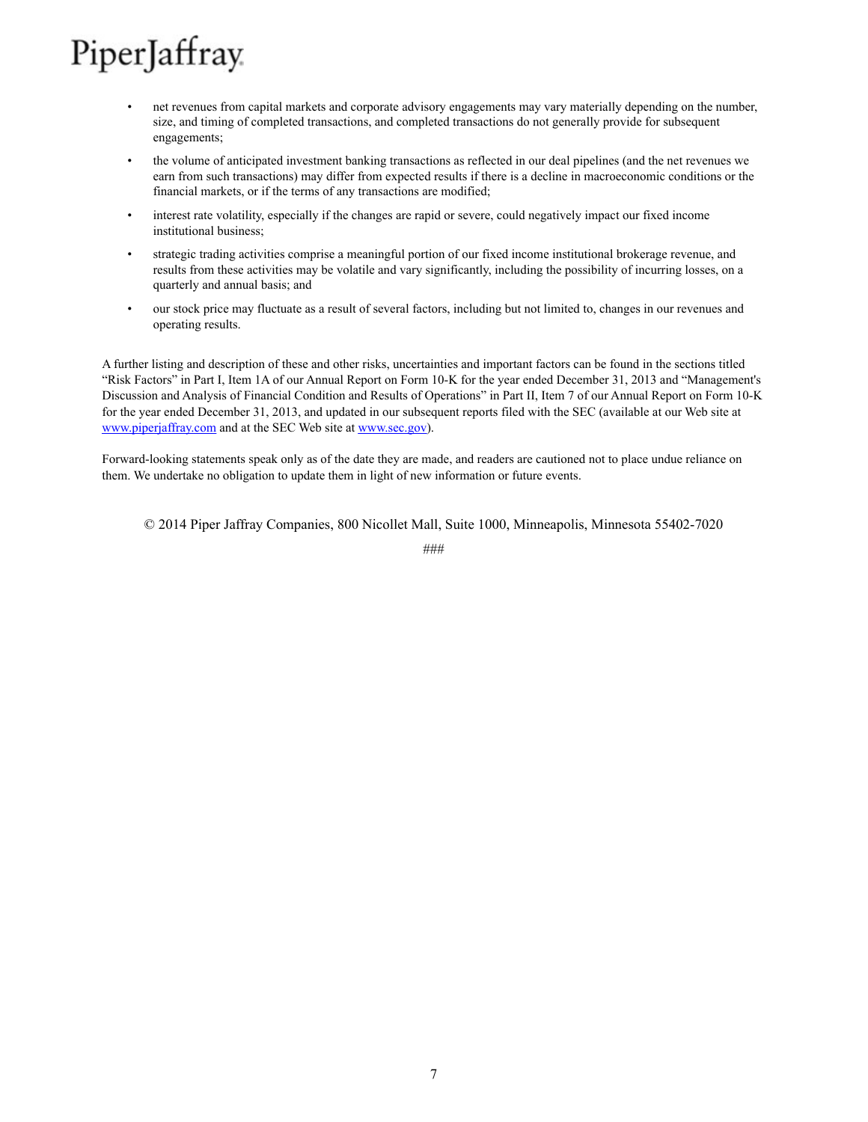- net revenues from capital markets and corporate advisory engagements may vary materially depending on the number, size, and timing of completed transactions, and completed transactions do not generally provide for subsequent engagements;
- the volume of anticipated investment banking transactions as reflected in our deal pipelines (and the net revenues we earn from such transactions) may differ from expected results if there is a decline in macroeconomic conditions or the financial markets, or if the terms of any transactions are modified;
- interest rate volatility, especially if the changes are rapid or severe, could negatively impact our fixed income institutional business;
- strategic trading activities comprise a meaningful portion of our fixed income institutional brokerage revenue, and results from these activities may be volatile and vary significantly, including the possibility of incurring losses, on a quarterly and annual basis; and
- our stock price may fluctuate as a result of several factors, including but not limited to, changes in our revenues and operating results.

A further listing and description of these and other risks, uncertainties and important factors can be found in the sections titled "Risk Factors" in Part I, Item 1A of our Annual Report on Form 10-K for the year ended December 31, 2013 and "Management's Discussion and Analysis of Financial Condition and Results of Operations" in Part II, Item 7 of our Annual Report on Form 10-K for the year ended December 31, 2013, and updated in our subsequent reports filed with the SEC (available at our Web site at www.piperjaffray.com and at the SEC Web site at www.sec.gov).

Forward-looking statements speak only as of the date they are made, and readers are cautioned not to place undue reliance on them. We undertake no obligation to update them in light of new information or future events.

© 2014 Piper Jaffray Companies, 800 Nicollet Mall, Suite 1000, Minneapolis, Minnesota 55402-7020

###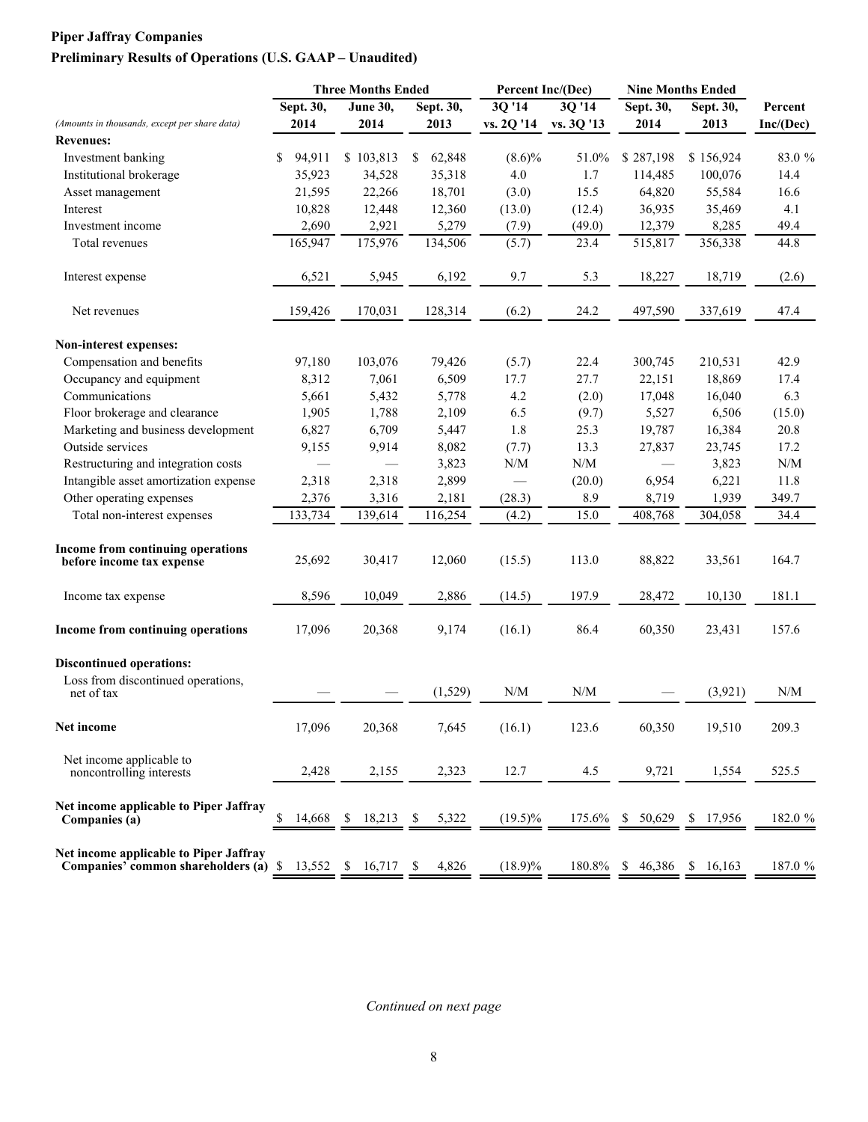# **Piper Jaffray Companies Preliminary Results of Operations (U.S. GAAP – Unaudited)**

|                                                                                 | <b>Three Months Ended</b> |         |    | Percent Inc/(Dec) |              |                                                             | <b>Nine Months Ended</b> |                         |              |           |     |           |           |
|---------------------------------------------------------------------------------|---------------------------|---------|----|-------------------|--------------|-------------------------------------------------------------|--------------------------|-------------------------|--------------|-----------|-----|-----------|-----------|
|                                                                                 | Sept. 30,                 |         |    | <b>June 30,</b>   | Sept. 30,    | 3Q '14                                                      |                          | 3Q '14                  |              | Sept. 30, |     | Sept. 30, | Percent   |
| (Amounts in thousands, except per share data)                                   | 2014                      |         |    | 2014              | 2013         | vs. 2Q '14                                                  |                          | vs. 3Q '13              |              | 2014      |     | 2013      | Inc/(Dec) |
| <b>Revenues:</b>                                                                |                           |         |    |                   |              |                                                             |                          |                         |              |           |     |           |           |
| Investment banking                                                              | \$                        | 94,911  |    | \$103,813         | \$<br>62,848 | $(8.6)\%$                                                   |                          | 51.0%                   |              | \$287,198 |     | \$156,924 | 83.0 %    |
| Institutional brokerage                                                         |                           | 35,923  |    | 34,528            | 35,318       | 4.0                                                         |                          | 1.7                     |              | 114,485   |     | 100,076   | 14.4      |
| Asset management                                                                |                           | 21,595  |    | 22,266            | 18,701       | (3.0)                                                       |                          | 15.5                    |              | 64,820    |     | 55,584    | 16.6      |
| Interest                                                                        |                           | 10,828  |    | 12,448            | 12,360       | (13.0)                                                      |                          | (12.4)                  |              | 36,935    |     | 35,469    | 4.1       |
| Investment income                                                               |                           | 2,690   |    | 2,921             | 5,279        | (7.9)                                                       |                          | (49.0)                  |              | 12,379    |     | 8,285     | 49.4      |
| Total revenues                                                                  |                           | 165,947 |    | 175,976           | 134,506      | (5.7)                                                       |                          | 23.4                    |              | 515,817   |     | 356,338   | 44.8      |
| Interest expense                                                                |                           | 6,521   |    | 5,945             | 6,192        | 9.7                                                         |                          | 5.3                     |              | 18,227    |     | 18,719    | (2.6)     |
| Net revenues                                                                    |                           | 159,426 |    | 170,031           | 128,314      | (6.2)                                                       |                          | 24.2                    |              | 497,590   |     | 337,619   | 47.4      |
| Non-interest expenses:                                                          |                           |         |    |                   |              |                                                             |                          |                         |              |           |     |           |           |
| Compensation and benefits                                                       |                           | 97,180  |    | 103,076           | 79,426       | (5.7)                                                       |                          | 22.4                    |              | 300,745   |     | 210,531   | 42.9      |
| Occupancy and equipment                                                         |                           | 8,312   |    | 7,061             | 6,509        | 17.7                                                        |                          | 27.7                    |              | 22,151    |     | 18,869    | 17.4      |
| Communications                                                                  |                           | 5,661   |    | 5,432             | 5,778        | 4.2                                                         |                          | (2.0)                   |              | 17,048    |     | 16,040    | 6.3       |
| Floor brokerage and clearance                                                   |                           | 1,905   |    | 1,788             | 2,109        | 6.5                                                         |                          | (9.7)                   |              | 5,527     |     | 6,506     | (15.0)    |
| Marketing and business development                                              |                           | 6,827   |    | 6,709             | 5,447        | 1.8                                                         |                          | 25.3                    |              | 19,787    |     | 16,384    | 20.8      |
| Outside services                                                                |                           | 9,155   |    | 9,914             | 8,082        | (7.7)                                                       |                          | 13.3                    |              | 27,837    |     | 23,745    | 17.2      |
| Restructuring and integration costs                                             |                           |         |    |                   | 3,823        | $\ensuremath{\text{N}}\xspace/\ensuremath{\text{M}}\xspace$ |                          | $\mathrm{N}/\mathrm{M}$ |              |           |     | 3,823     | N/M       |
| Intangible asset amortization expense                                           |                           | 2,318   |    | 2,318             | 2,899        |                                                             |                          | (20.0)                  |              | 6,954     |     | 6,221     | 11.8      |
| Other operating expenses                                                        |                           | 2,376   |    | 3,316             | 2,181        | (28.3)                                                      |                          | 8.9                     |              | 8,719     |     | 1,939     | 349.7     |
| Total non-interest expenses                                                     |                           | 133,734 |    | 139,614           | 116,254      | (4.2)                                                       |                          | 15.0                    |              | 408,768   |     | 304,058   | 34.4      |
| <b>Income from continuing operations</b><br>before income tax expense           |                           | 25,692  |    | 30,417            | 12,060       | (15.5)                                                      |                          | 113.0                   |              | 88,822    |     | 33,561    | 164.7     |
| Income tax expense                                                              |                           | 8,596   |    | 10,049            | 2,886        | (14.5)                                                      |                          | 197.9                   |              | 28,472    |     | 10,130    | 181.1     |
| Income from continuing operations                                               |                           | 17,096  |    | 20,368            | 9,174        | (16.1)                                                      |                          | 86.4                    |              | 60,350    |     | 23,431    | 157.6     |
| <b>Discontinued operations:</b>                                                 |                           |         |    |                   |              |                                                             |                          |                         |              |           |     |           |           |
| Loss from discontinued operations,<br>net of tax                                |                           |         |    |                   | (1,529)      | N/M                                                         |                          | N/M                     |              |           |     | (3,921)   | N/M       |
| Net income                                                                      |                           | 17,096  |    | 20,368            | 7,645        | (16.1)                                                      |                          | 123.6                   |              | 60,350    |     | 19,510    | 209.3     |
| Net income applicable to<br>noncontrolling interests                            |                           | 2,428   |    | 2,155             | 2,323        | 12.7                                                        |                          | 4.5                     |              | 9,721     |     | 1,554     | 525.5     |
| Net income applicable to Piper Jaffray<br>Companies (a)                         | \$                        | 14,668  | \$ | 18,213            | \$<br>5,322  | $(19.5)\%$                                                  |                          | 175.6%                  | -S           | 50,629    | \$. | 17,956    | 182.0 %   |
| Net income applicable to Piper Jaffray<br>Companies' common shareholders (a) \$ |                           | 13,552  | \$ | 16,717            | \$<br>4,826  | $(18.9)\%$                                                  |                          | 180.8%                  | $\mathbb{S}$ | 46,386    |     | \$16,163  | 187.0 %   |

*Continued on next page*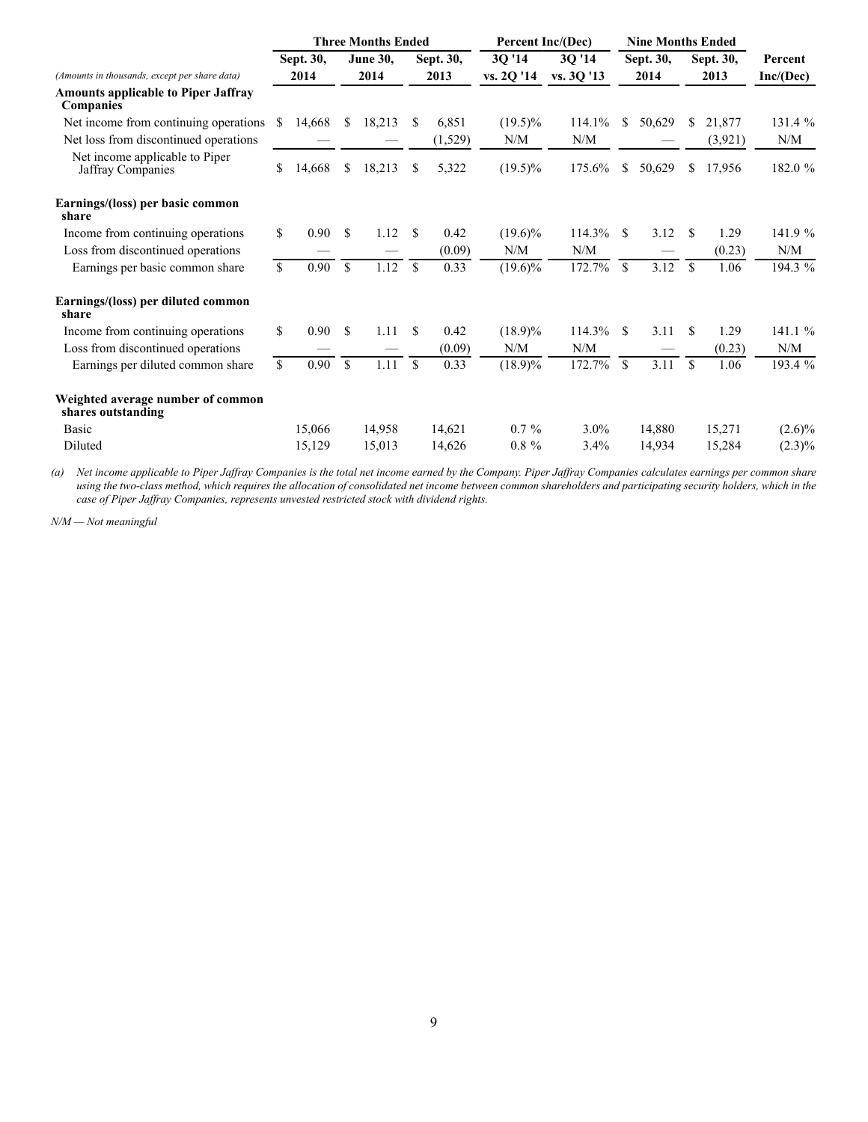|                                                         |                    |           |                    | <b>Three Months Ended</b> |               |           | <b>Percent Inc/(Dec)</b> |            |               | <b>Nine Months Ended</b> |               |           |           |
|---------------------------------------------------------|--------------------|-----------|--------------------|---------------------------|---------------|-----------|--------------------------|------------|---------------|--------------------------|---------------|-----------|-----------|
|                                                         |                    | Sept. 30, |                    | <b>June 30,</b>           |               | Sept. 30, | 3Q '14                   | 3Q '14     |               | Sept. 30,                |               | Sept. 30, | Percent   |
| (Amounts in thousands, except per share data)           |                    | 2014      |                    | 2014                      |               | 2013      | vs. 2Q '14               | vs. 3Q '13 | 2014          |                          | 2013          |           | Inc/(Dec) |
| <b>Amounts applicable to Piper Jaffray</b><br>Companies |                    |           |                    |                           |               |           |                          |            |               |                          |               |           |           |
| Net income from continuing operations.                  | \$                 | 14,668    | <sup>\$</sup>      | 18,213                    | \$            | 6,851     | $(19.5)\%$               | 114.1%     | \$            | 50,629                   | \$            | 21,877    | 131.4 %   |
| Net loss from discontinued operations                   |                    |           |                    |                           |               | (1,529)   | N/M                      | N/M        |               |                          |               | (3,921)   | N/M       |
| Net income applicable to Piper<br>Jaffray Companies     | \$                 | 14,668    | S.                 | 18,213                    | \$            | 5,322     | $(19.5)\%$               | 175.6%     | \$            | 50,629                   | S.            | 17,956    | 182.0 %   |
| Earnings/(loss) per basic common<br>share               |                    |           |                    |                           |               |           |                          |            |               |                          |               |           |           |
| Income from continuing operations                       | \$                 | 0.90      | -S                 | 1.12                      | \$            | 0.42      | $(19.6)\%$               | 114.3%     | <sup>\$</sup> | 3.12                     | \$.           | 1.29      | 141.9 %   |
| Loss from discontinued operations                       |                    |           |                    |                           |               | (0.09)    | N/M                      | N/M        |               |                          |               | (0.23)    | N/M       |
| Earnings per basic common share                         | $\mathbf{\hat{S}}$ | 0.90      | $\mathbf{\hat{S}}$ | 1.12                      | \$            | 0.33      | $(19.6)\%$               | 172.7%     | $\mathbf S$   | 3.12                     | $\mathbf S$   | 1.06      | 194.3 %   |
| Earnings/(loss) per diluted common<br>share             |                    |           |                    |                           |               |           |                          |            |               |                          |               |           |           |
| Income from continuing operations                       | \$                 | 0.90      | -\$                | 1.11                      | \$            | 0.42      | $(18.9)\%$               | 114.3%     | <sup>\$</sup> | 3.11                     | <sup>\$</sup> | 1.29      | 141.1 %   |
| Loss from discontinued operations                       |                    |           |                    |                           |               | (0.09)    | N/M                      | N/M        |               |                          |               | (0.23)    | N/M       |
| Earnings per diluted common share                       | $\mathcal{S}$      | 0.90      | $\mathbf S$        | 1.11                      | $\mathcal{S}$ | 0.33      | $(18.9)\%$               | 172.7%     | $\mathcal{S}$ | 3.11                     | $\mathbf S$   | 1.06      | 193.4 %   |
| Weighted average number of common<br>shares outstanding |                    |           |                    |                           |               |           |                          |            |               |                          |               |           |           |
| Basic                                                   |                    | 15,066    |                    | 14,958                    |               | 14,621    | $0.7\%$                  | 3.0%       |               | 14,880                   |               | 15,271    | $(2.6)\%$ |
| Diluted                                                 |                    | 15,129    |                    | 15,013                    |               | 14,626    | $0.8 \%$                 | 3.4%       |               | 14,934                   |               | 15,284    | $(2.3)\%$ |

*(a) Net income applicable to Piper Jaffray Companies is the total net income earned by the Company. Piper Jaffray Companies calculates earnings per common share using the two-class method, which requires the allocation of consolidated net income between common shareholders and participating security holders, which in the case of Piper Jaffray Companies, represents unvested restricted stock with dividend rights.*

*N/M — Not meaningful*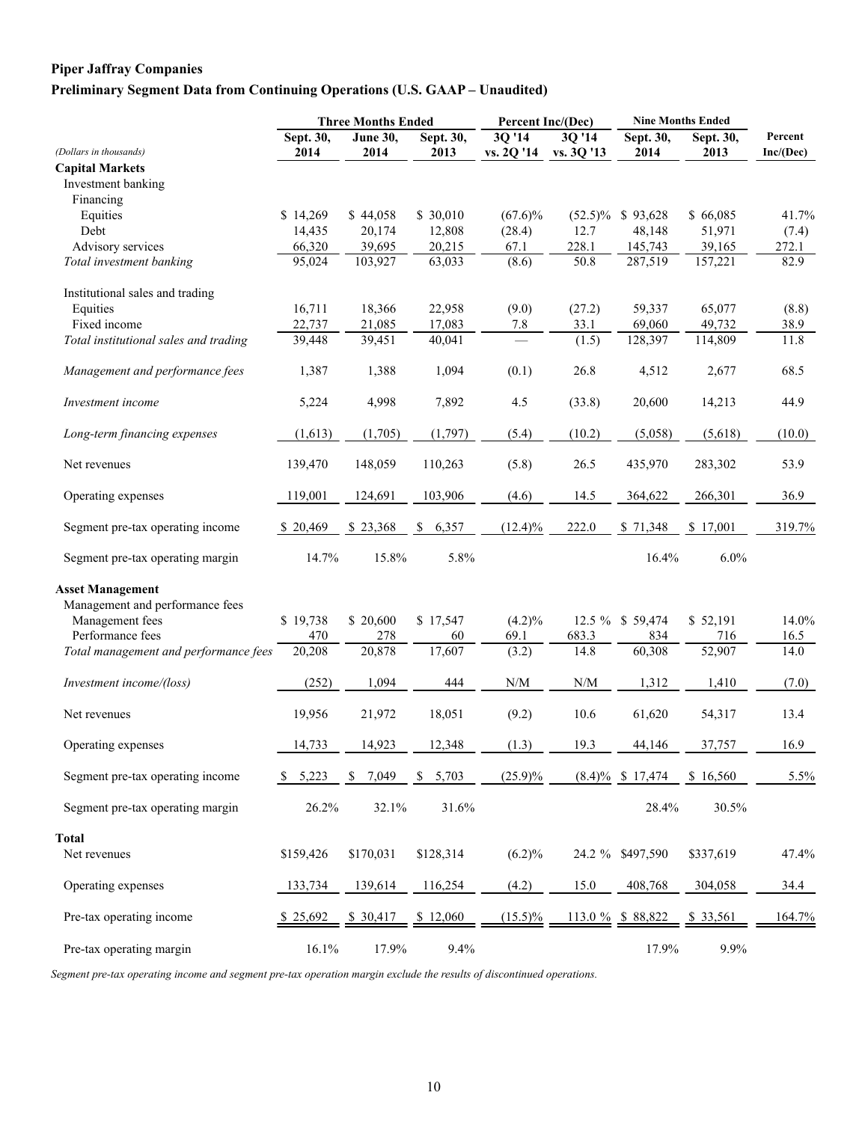## **Preliminary Segment Data from Continuing Operations (U.S. GAAP – Unaudited)**

|                                       | <b>Three Months Ended</b> |                 |             | Percent Inc/(Dec)                                           |                                                             | <b>Nine Months Ended</b> |           |           |  |
|---------------------------------------|---------------------------|-----------------|-------------|-------------------------------------------------------------|-------------------------------------------------------------|--------------------------|-----------|-----------|--|
|                                       | Sept. 30,                 | <b>June 30,</b> | Sept. 30,   | $3\overline{Q'14}$                                          | 30'14                                                       | Sept. 30,                | Sept. 30, | Percent   |  |
| (Dollars in thousands)                | 2014                      | 2014            | 2013        | vs. 2Q '14                                                  | vs. 3Q '13                                                  | 2014                     | 2013      | Inc/(Dec) |  |
| <b>Capital Markets</b>                |                           |                 |             |                                                             |                                                             |                          |           |           |  |
| Investment banking                    |                           |                 |             |                                                             |                                                             |                          |           |           |  |
| Financing                             |                           |                 |             |                                                             |                                                             |                          |           |           |  |
| Equities                              | \$14,269                  | \$44,058        | \$ 30,010   | $(67.6)\%$                                                  |                                                             | $(52.5)\%$ \$ 93,628     | \$66,085  | 41.7%     |  |
| Debt                                  | 14,435                    | 20,174          | 12,808      | (28.4)                                                      | 12.7                                                        | 48,148                   | 51,971    | (7.4)     |  |
| Advisory services                     | 66,320                    | 39,695          | 20,215      | 67.1                                                        | 228.1                                                       | 145,743                  | 39,165    | 272.1     |  |
| Total investment banking              | 95,024                    | 103,927         | 63,033      | (8.6)                                                       | 50.8                                                        | 287,519                  | 157,221   | 82.9      |  |
| Institutional sales and trading       |                           |                 |             |                                                             |                                                             |                          |           |           |  |
| Equities                              | 16,711                    | 18,366          | 22,958      | (9.0)                                                       | (27.2)                                                      | 59,337                   | 65,077    | (8.8)     |  |
| Fixed income                          | 22,737                    | 21,085          | 17,083      | 7.8                                                         | 33.1                                                        | 69,060                   | 49,732    | 38.9      |  |
| Total institutional sales and trading | 39,448                    | 39,451          | 40,041      |                                                             | (1.5)                                                       | 128,397                  | 114,809   | 11.8      |  |
| Management and performance fees       | 1,387                     | 1,388           | 1,094       | (0.1)                                                       | 26.8                                                        | 4,512                    | 2,677     | 68.5      |  |
| Investment income                     | 5,224                     | 4,998           | 7,892       | 4.5                                                         | (33.8)                                                      | 20,600                   | 14,213    | 44.9      |  |
| Long-term financing expenses          | (1,613)                   | (1,705)         | (1,797)     | (5.4)                                                       | (10.2)                                                      | (5,058)                  | (5,618)   | (10.0)    |  |
| Net revenues                          | 139,470                   | 148,059         | 110,263     | (5.8)                                                       | 26.5                                                        | 435,970                  | 283,302   | 53.9      |  |
| Operating expenses                    | 119,001                   | 124,691         | 103,906     | (4.6)                                                       | 14.5                                                        | 364,622                  | 266,301   | 36.9      |  |
| Segment pre-tax operating income      | \$20,469                  | \$23,368        | 6,357<br>S. | $(12.4)\%$                                                  | 222.0                                                       | \$71,348                 | \$17,001  | 319.7%    |  |
| Segment pre-tax operating margin      | 14.7%                     | 15.8%           | 5.8%        |                                                             |                                                             | 16.4%                    | 6.0%      |           |  |
| <b>Asset Management</b>               |                           |                 |             |                                                             |                                                             |                          |           |           |  |
| Management and performance fees       |                           |                 |             |                                                             |                                                             |                          |           |           |  |
| Management fees                       | \$19,738                  | \$20,600        | \$17,547    | $(4.2)\%$                                                   |                                                             | 12.5 % \$ 59,474         | \$52,191  | 14.0%     |  |
| Performance fees                      | 470                       | 278             | 60          | 69.1                                                        | 683.3                                                       | 834                      | 716       | 16.5      |  |
| Total management and performance fees | 20,208                    | 20,878          | 17,607      | (3.2)                                                       | 14.8                                                        | 60,308                   | 52,907    | 14.0      |  |
| Investment income/(loss)              | (252)                     | 1,094           | 444         | $\ensuremath{\text{N}}\xspace/\ensuremath{\text{M}}\xspace$ | $\ensuremath{\text{N}}\xspace/\ensuremath{\text{M}}\xspace$ | 1,312                    | 1,410     | (7.0)     |  |
| Net revenues                          | 19,956                    | 21,972          | 18,051      | (9.2)                                                       | 10.6                                                        | 61,620                   | 54,317    | 13.4      |  |
| Operating expenses                    | 14,733                    | 14,923          | 12,348      | (1.3)                                                       | 19.3                                                        | 44,146                   | 37,757    | 16.9      |  |
| Segment pre-tax operating income      | 5,223                     | 7,049<br>S      | 5,703<br>\$ | $(25.9)\%$                                                  |                                                             | $(8.4)\%$ \$ 17,474      | \$16,560  | 5.5%      |  |
| Segment pre-tax operating margin      | 26.2%                     | 32.1%           | 31.6%       |                                                             |                                                             | 28.4%                    | 30.5%     |           |  |
|                                       |                           |                 |             |                                                             |                                                             |                          |           |           |  |
| Total<br>Net revenues                 | \$159,426                 | \$170,031       | \$128,314   | $(6.2)\%$                                                   |                                                             | 24.2 % \$497,590         | \$337,619 | 47.4%     |  |
| Operating expenses                    | 133,734                   | 139,614         | 116,254     | (4.2)                                                       | 15.0                                                        | 408,768                  | 304,058   | 34.4      |  |
| Pre-tax operating income              | \$25,692                  | \$ 30,417       | \$12,060    | $(15.5)\%$                                                  |                                                             | $113.0 \%$ \$ 88,822     | \$ 33,561 | 164.7%    |  |
| Pre-tax operating margin              | 16.1%                     | 17.9%           | 9.4%        |                                                             |                                                             | 17.9%                    | 9.9%      |           |  |

*Segment pre-tax operating income and segment pre-tax operation margin exclude the results of discontinued operations.*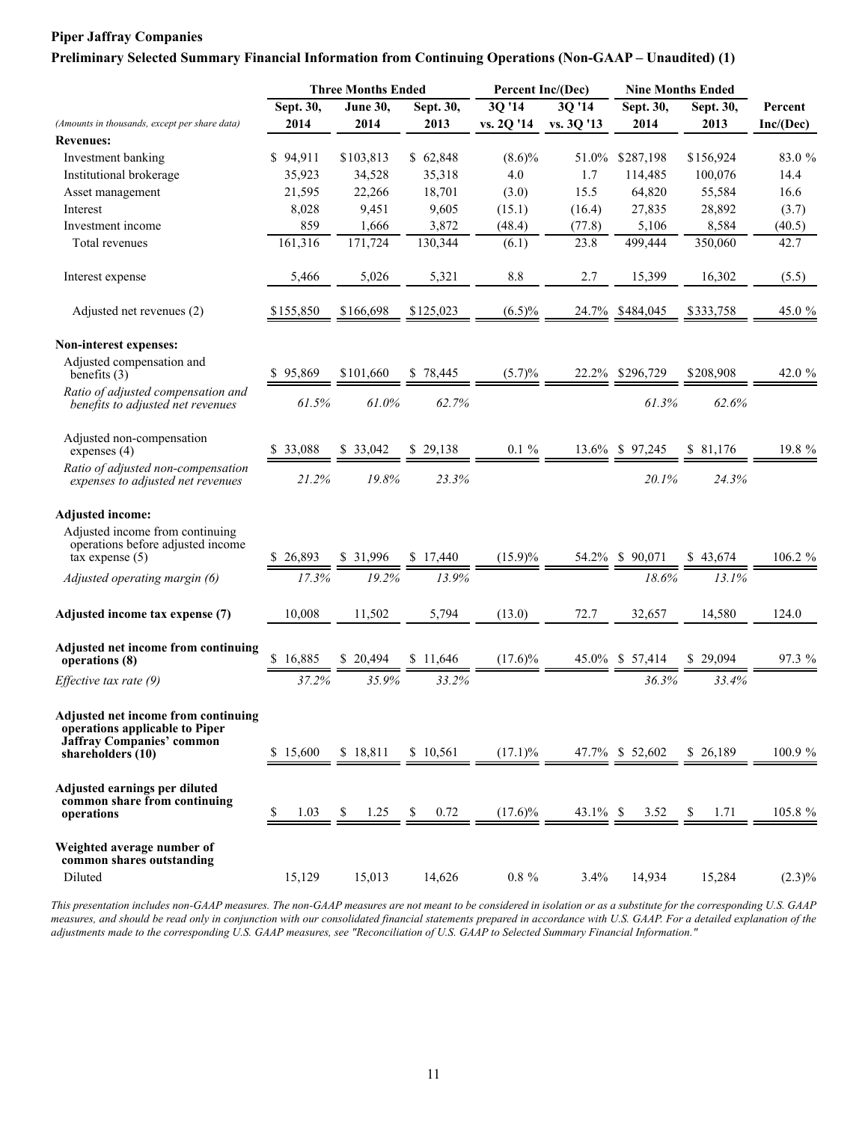#### **Preliminary Selected Summary Financial Information from Continuing Operations (Non-GAAP – Unaudited) (1)**

|                                                                                                                         |              | <b>Three Months Ended</b> |              | Percent Inc/(Dec) |            | <b>Nine Months Ended</b>                                                     |           |            |  |
|-------------------------------------------------------------------------------------------------------------------------|--------------|---------------------------|--------------|-------------------|------------|------------------------------------------------------------------------------|-----------|------------|--|
|                                                                                                                         | Sept. 30,    | June 30,                  | Sept. 30,    | 3Q '14            | 3Q '14     | Sept. 30,                                                                    | Sept. 30, | Percent    |  |
| (Amounts in thousands, except per share data)                                                                           | 2014         | 2014                      | 2013         | vs. 2Q '14        | vs. 3Q '13 | 2014                                                                         | 2013      | Inc/(Dec)  |  |
| <b>Revenues:</b>                                                                                                        |              |                           |              |                   |            |                                                                              |           |            |  |
| Investment banking                                                                                                      | \$94,911     | \$103,813                 | \$62,848     | $(8.6)\%$         | 51.0%      | \$287,198                                                                    | \$156,924 | 83.0 %     |  |
| Institutional brokerage                                                                                                 | 35,923       | 34,528                    | 35,318       | 4.0               | 1.7        | 114,485                                                                      | 100,076   | 14.4       |  |
| Asset management                                                                                                        | 21,595       | 22,266                    | 18,701       | (3.0)             | 15.5       | 64,820                                                                       | 55,584    | 16.6       |  |
| Interest                                                                                                                | 8,028        | 9,451                     | 9,605        | (15.1)            | (16.4)     | 27,835                                                                       | 28,892    | (3.7)      |  |
| Investment income                                                                                                       | 859          | 1,666                     | 3,872        | (48.4)            | (77.8)     | 5,106                                                                        | 8,584     | (40.5)     |  |
| Total revenues                                                                                                          | 161,316      | 171,724                   | 130,344      | (6.1)             | 23.8       | 499,444                                                                      | 350,060   | 42.7       |  |
| Interest expense                                                                                                        | 5,466        | 5,026                     | 5,321        | 8.8               | 2.7        | 15,399                                                                       | 16,302    | (5.5)      |  |
| Adjusted net revenues (2)                                                                                               | \$155,850    | \$166,698                 | \$125,023    | $(6.5)\%$         | 24.7%      | \$484,045                                                                    | \$333,758 | 45.0 %     |  |
| Non-interest expenses:                                                                                                  |              |                           |              |                   |            |                                                                              |           |            |  |
| Adjusted compensation and<br>benefits $(3)$                                                                             | \$95,869     | \$101,660                 | 78,445<br>S. | $(5.7)\%$         |            | 22.2% \$296.729                                                              | \$208,908 | 42.0 %     |  |
| Ratio of adjusted compensation and<br>benefits to adjusted net revenues                                                 | 61.5%        | 61.0%                     | 62.7%        |                   |            | 61.3%                                                                        | 62.6%     |            |  |
| Adjusted non-compensation<br>expenses $(4)$                                                                             | \$ 33,088    | \$33.042                  | \$29,138     | $0.1 \%$          |            | 13.6% \$ 97,245                                                              | \$ 81,176 | 19.8 %     |  |
| Ratio of adjusted non-compensation<br>expenses to adjusted net revenues                                                 | 21.2%        | 19.8%                     | 23.3%        |                   |            | 20.1%                                                                        | 24.3%     |            |  |
| <b>Adjusted income:</b>                                                                                                 |              |                           |              |                   |            |                                                                              |           |            |  |
| Adjusted income from continuing<br>operations before adjusted income<br>$tax$ expense $(5)$                             | \$26,893     | \$ 31,996                 | \$17,440     | $(15.9)\%$        | 54.2%      | \$90,071                                                                     | \$43,674  | $106.2 \%$ |  |
| Adjusted operating margin (6)                                                                                           | 17.3%        | 19.2%                     | 13.9%        |                   |            | 18.6%                                                                        | 13.1%     |            |  |
| Adjusted income tax expense (7)                                                                                         | 10,008       | 11,502                    | 5,794        | (13.0)            | 72.7       | 32,657                                                                       | 14,580    | 124.0      |  |
| Adjusted net income from continuing<br>operations (8)                                                                   | 16,885<br>S. | \$20,494                  | \$11,646     | $(17.6)\%$        |            | 45.0% \$ 57,414                                                              | \$29,094  | 97.3 %     |  |
| Effective tax rate (9)                                                                                                  | 37.2%        | 35.9%                     | 33.2%        |                   |            | 36.3%                                                                        | 33.4%     |            |  |
| Adjusted net income from continuing<br>operations applicable to Piper<br>Jaffray Companies' common<br>shareholders (10) | \$15,600     | \$18,811                  | \$10,561     | (17.1)%           |            | 47.7% \$ 52,602                                                              | \$26,189  | $100.9\%$  |  |
| Adjusted earnings per diluted<br>common share from continuing<br>operations                                             | \$<br>1.03   | 1.25<br>S.                | 0.72<br>S.   | $(17.6)\%$        |            | $\frac{43.1\%}{\text{ }} \frac{\$ \quad 3.52}{\text{ }} \frac{\$}{\text{ }}$ | 1.71      | $105.8 \%$ |  |
| Weighted average number of<br>common shares outstanding<br>Diluted                                                      | 15,129       | 15,013                    | 14,626       | $0.8 \%$          | 3.4%       | 14,934                                                                       | 15,284    | $(2.3)\%$  |  |

*This presentation includes non-GAAP measures. The non-GAAP measures are not meant to be considered in isolation or as a substitute for the corresponding U.S. GAAP measures, and should be read only in conjunction with our consolidated financial statements prepared in accordance with U.S. GAAP. For a detailed explanation of the adjustments made to the corresponding U.S. GAAP measures, see "Reconciliation of U.S. GAAP to Selected Summary Financial Information."*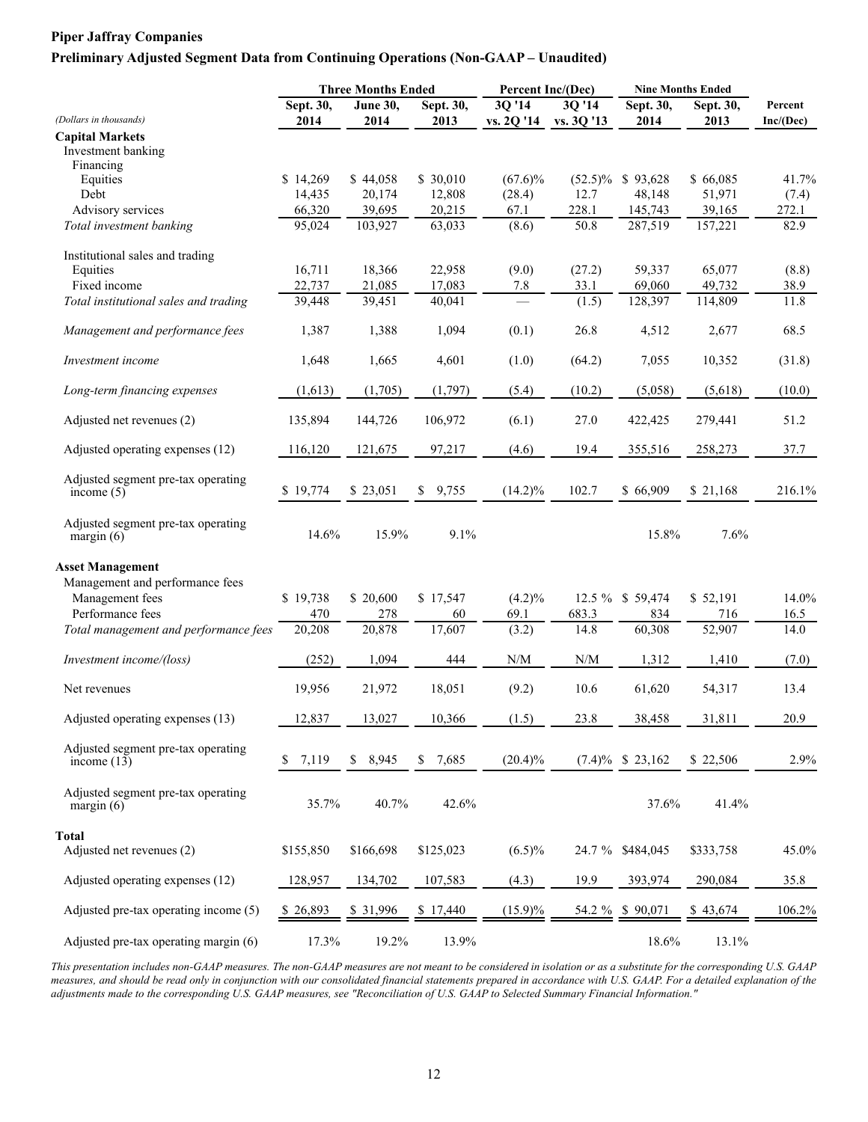#### **Preliminary Adjusted Segment Data from Continuing Operations (Non-GAAP – Unaudited)**

|                                                           |                   | <b>Three Months Ended</b> |                   | Percent Inc/(Dec)                             |                         | <b>Nine Months Ended</b> |           |                      |
|-----------------------------------------------------------|-------------------|---------------------------|-------------------|-----------------------------------------------|-------------------------|--------------------------|-----------|----------------------|
| (Dollars in thousands)                                    | Sept. 30,<br>2014 | <b>June 30,</b><br>2014   | Sept. 30,<br>2013 | $3Q'1\overline{4}$                            | 3Q '14<br>vs. 3Q '13    | Sept. 30,<br>2014        | Sept. 30, | Percent<br>Inc/(Dec) |
|                                                           |                   |                           |                   | vs. 2Q '14                                    |                         |                          | 2013      |                      |
| <b>Capital Markets</b><br>Investment banking<br>Financing |                   |                           |                   |                                               |                         |                          |           |                      |
| Equities                                                  | \$14,269          | \$44,058                  | \$ 30,010         | $(67.6)\%$                                    |                         | $(52.5)\%$ \$ 93,628     | \$66,085  | 41.7%                |
| Debt                                                      | 14,435            | 20,174                    | 12,808            | (28.4)                                        | 12.7                    | 48,148                   | 51,971    | (7.4)                |
| Advisory services                                         | 66,320            | 39,695                    | 20,215            | 67.1                                          | 228.1                   | 145,743                  | 39,165    | 272.1                |
| Total investment banking                                  | 95,024            | 103,927                   | 63,033            | (8.6)                                         | 50.8                    | 287,519                  | 157,221   | 82.9                 |
| Institutional sales and trading                           |                   |                           |                   |                                               |                         |                          |           |                      |
| Equities                                                  | 16,711            | 18,366                    | 22,958            | (9.0)                                         | (27.2)                  | 59,337                   | 65,077    | (8.8)                |
| Fixed income                                              | 22,737            | 21,085                    | 17,083            | 7.8                                           | 33.1                    | 69,060                   | 49,732    | 38.9                 |
| Total institutional sales and trading                     | 39,448            | 39,451                    | 40,041            |                                               | (1.5)                   | 128,397                  | 114,809   | 11.8                 |
| Management and performance fees                           | 1,387             | 1,388                     | 1,094             | (0.1)                                         | 26.8                    | 4,512                    | 2,677     | 68.5                 |
| Investment income                                         | 1,648             | 1,665                     | 4,601             | (1.0)                                         | (64.2)                  | 7,055                    | 10,352    | (31.8)               |
| Long-term financing expenses                              | (1,613)           | (1,705)                   | (1,797)           | (5.4)                                         | (10.2)                  | (5,058)                  | (5,618)   | (10.0)               |
| Adjusted net revenues (2)                                 | 135,894           | 144,726                   | 106,972           | (6.1)                                         | 27.0                    | 422,425                  | 279,441   | 51.2                 |
| Adjusted operating expenses (12)                          | 116,120           | 121,675                   | 97,217            | (4.6)                                         | 19.4                    | 355,516                  | 258,273   | 37.7                 |
| Adjusted segment pre-tax operating<br>income $(5)$        | \$19,774          | \$23,051                  | \$9,755           | $(14.2)\%$                                    | 102.7                   | \$66,909                 | \$21,168  | 216.1%               |
| Adjusted segment pre-tax operating<br>margin $(6)$        | 14.6%             | 15.9%                     | 9.1%              |                                               |                         | 15.8%                    | 7.6%      |                      |
| <b>Asset Management</b>                                   |                   |                           |                   |                                               |                         |                          |           |                      |
| Management and performance fees                           |                   |                           |                   |                                               |                         |                          |           |                      |
| Management fees                                           | \$19,738          | \$20,600                  | \$17,547          | $(4.2)\%$                                     |                         | 12.5 % \$ 59,474         | \$52,191  | 14.0%                |
| Performance fees                                          | 470               | 278                       | 60                | 69.1                                          | 683.3                   | 834                      | 716       | 16.5                 |
| Total management and performance fees                     | 20,208            | 20,878                    | 17,607            | (3.2)                                         | 14.8                    | 60,308                   | 52,907    | 14.0                 |
| Investment income/(loss)                                  | (252)             | 1,094                     | 444               | $\ensuremath{\text{N}}/\ensuremath{\text{M}}$ | $\mathrm{N}/\mathrm{M}$ | 1,312                    | 1,410     | (7.0)                |
| Net revenues                                              | 19,956            | 21,972                    | 18,051            | (9.2)                                         | 10.6                    | 61,620                   | 54,317    | 13.4                 |
| Adjusted operating expenses (13)                          | 12,837            | 13,027                    | 10,366            | (1.5)                                         | 23.8                    | 38,458                   | 31,811    | 20.9                 |
| Adjusted segment pre-tax operating<br>income $(13)$       | 7,119<br>\$       | 8,945<br>\$               | 7,685<br>\$       | $(20.4)\%$                                    |                         | $(7.4)\%$ \$ 23,162      | \$22,506  | 2.9%                 |
| Adjusted segment pre-tax operating<br>margin $(6)$        | 35.7%             | 40.7%                     | 42.6%             |                                               |                         | 37.6%                    | 41.4%     |                      |
| Total                                                     |                   |                           |                   |                                               |                         |                          |           |                      |
| Adjusted net revenues (2)                                 | \$155,850         | \$166,698                 | \$125,023         | $(6.5)\%$                                     |                         | 24.7 % \$484,045         | \$333,758 | 45.0%                |
| Adjusted operating expenses (12)                          | 128,957           | 134,702                   | 107,583           | (4.3)                                         | 19.9                    | 393,974                  | 290,084   | 35.8                 |
| Adjusted pre-tax operating income (5)                     | \$26,893          | \$ 31,996                 | \$17,440          | $(15.9)\%$                                    |                         | 54.2 % \$ 90,071         | \$43,674  | 106.2%               |
| Adjusted pre-tax operating margin (6)                     | 17.3%             | 19.2%                     | 13.9%             |                                               |                         | 18.6%                    | 13.1%     |                      |

*This presentation includes non-GAAP measures. The non-GAAP measures are not meant to be considered in isolation or as a substitute for the corresponding U.S. GAAP measures, and should be read only in conjunction with our consolidated financial statements prepared in accordance with U.S. GAAP. For a detailed explanation of the adjustments made to the corresponding U.S. GAAP measures, see "Reconciliation of U.S. GAAP to Selected Summary Financial Information."*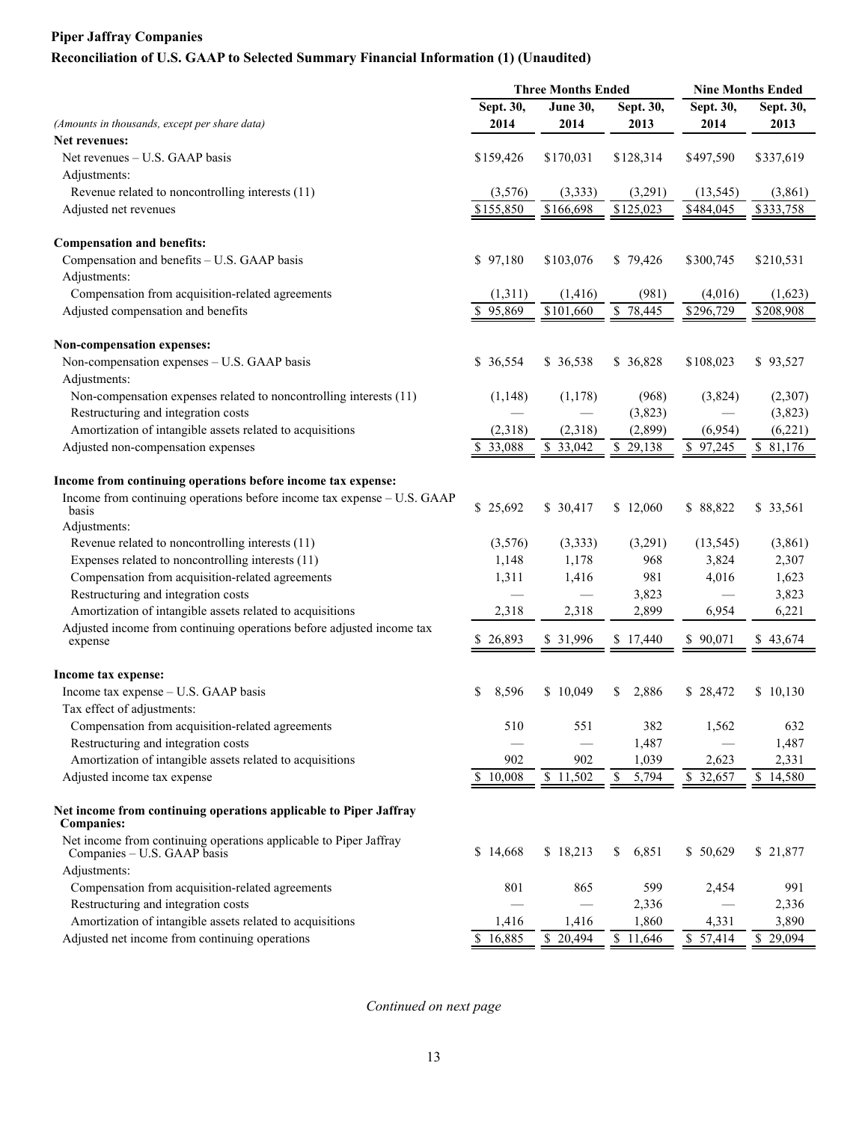# **Reconciliation of U.S. GAAP to Selected Summary Financial Information (1) (Unaudited)**

|                                                                                                  | <b>Three Months Ended</b> |                       | <b>Nine Months Ended</b> |                       |                         |
|--------------------------------------------------------------------------------------------------|---------------------------|-----------------------|--------------------------|-----------------------|-------------------------|
|                                                                                                  | Sept. 30,                 | <b>June 30,</b>       | Sept. 30,                | Sept. 30,             | Sept. 30,               |
| (Amounts in thousands, except per share data)                                                    | 2014                      | 2014                  | 2013                     | 2014                  | 2013                    |
| Net revenues:                                                                                    |                           |                       |                          |                       |                         |
| Net revenues - U.S. GAAP basis                                                                   | \$159,426                 | \$170,031             | \$128,314                | \$497,590             | \$337,619               |
| Adjustments:                                                                                     |                           |                       |                          |                       |                         |
| Revenue related to noncontrolling interests (11)                                                 | (3,576)                   | (3, 333)              | (3,291)                  | (13, 545)             | (3,861)                 |
| Adjusted net revenues                                                                            | \$155,850                 | \$166,698             | $\overline{$125,023}$    | \$484,045             | \$333,758               |
| <b>Compensation and benefits:</b>                                                                |                           |                       |                          |                       |                         |
| Compensation and benefits - U.S. GAAP basis                                                      | \$97,180                  | \$103,076             | \$79,426                 | \$300,745             | \$210,531               |
| Adjustments:                                                                                     |                           |                       |                          |                       |                         |
| Compensation from acquisition-related agreements                                                 | (1,311)                   | (1, 416)              | (981)                    | (4,016)               | (1,623)                 |
| Adjusted compensation and benefits                                                               | \$95,869                  | $\overline{$101,660}$ | $\overline{8}$ 78,445    | $\overline{$}296,729$ | $\overline{$}208,908$   |
| Non-compensation expenses:                                                                       |                           |                       |                          |                       |                         |
| Non-compensation expenses - U.S. GAAP basis                                                      | \$ 36,554                 | \$ 36,538             | \$ 36,828                | \$108,023             | \$93,527                |
| Adjustments:                                                                                     |                           |                       |                          |                       |                         |
| Non-compensation expenses related to noncontrolling interests (11)                               | (1,148)                   | (1, 178)              | (968)                    | (3,824)               | (2,307)                 |
| Restructuring and integration costs                                                              |                           |                       | (3,823)                  |                       | (3,823)                 |
| Amortization of intangible assets related to acquisitions                                        | (2,318)                   | (2,318)               | (2,899)                  | (6,954)               | (6,221)                 |
| Adjusted non-compensation expenses                                                               | \$33,088                  | $\overline{$}3,042$   | $\overline{$}$ 29,138    | $\sqrt{97,245}$       | $\overline{$8, 81,176}$ |
| Income from continuing operations before income tax expense:                                     |                           |                       |                          |                       |                         |
| Income from continuing operations before income tax expense - U.S. GAAP                          |                           |                       |                          |                       |                         |
| basis                                                                                            | \$25,692                  | \$ 30,417             | \$12,060                 | \$88,822              | \$ 33,561               |
| Adjustments:                                                                                     |                           |                       |                          |                       |                         |
| Revenue related to noncontrolling interests (11)                                                 | (3,576)                   | (3,333)               | (3,291)                  | (13, 545)             | (3,861)                 |
| Expenses related to noncontrolling interests (11)                                                | 1,148                     | 1,178                 | 968                      | 3,824                 | 2,307                   |
| Compensation from acquisition-related agreements                                                 | 1,311                     | 1,416                 | 981                      | 4,016                 | 1,623                   |
| Restructuring and integration costs                                                              |                           |                       | 3,823                    |                       | 3,823                   |
| Amortization of intangible assets related to acquisitions                                        | 2,318                     | 2,318                 | 2,899                    | 6,954                 | 6,221                   |
| Adjusted income from continuing operations before adjusted income tax<br>expense                 | \$26,893                  | \$ 31,996             | \$17,440                 | \$90,071              | \$43,674                |
| Income tax expense:                                                                              |                           |                       |                          |                       |                         |
| Income tax expense - U.S. GAAP basis                                                             | \$<br>8,596               | \$10,049              | 2,886<br>\$              | \$28,472              | \$10,130                |
| Tax effect of adjustments:                                                                       |                           |                       |                          |                       |                         |
|                                                                                                  |                           | 551                   | 382                      |                       | 632                     |
| Compensation from acquisition-related agreements<br>Restructuring and integration costs          | 510                       |                       | 1,487                    | 1,562                 | 1,487                   |
| Amortization of intangible assets related to acquisitions                                        | 902                       | 902                   | 1,039                    | 2,623                 | 2,331                   |
|                                                                                                  |                           |                       |                          |                       |                         |
| Adjusted income tax expense                                                                      | \$10,008                  | \$11,502              | \$<br>5,794              | \$ 32,657             | \$14,580                |
| Net income from continuing operations applicable to Piper Jaffray<br><b>Companies:</b>           |                           |                       |                          |                       |                         |
| Net income from continuing operations applicable to Piper Jaffray<br>Companies – U.S. GAAP basis | \$14,668                  | \$18,213              | \$<br>6,851              | \$50,629              | \$21,877                |
| Adjustments:                                                                                     |                           |                       |                          |                       |                         |
| Compensation from acquisition-related agreements                                                 | 801                       | 865                   | 599                      | 2,454                 | 991                     |
| Restructuring and integration costs                                                              |                           |                       | 2,336                    |                       | 2,336                   |
| Amortization of intangible assets related to acquisitions                                        | 1,416                     | 1,416                 | 1,860                    | 4,331                 | 3,890                   |
| Adjusted net income from continuing operations                                                   | \$16,885                  | \$ 20,494             | \$11,646                 | \$57,414              | \$29,094                |

*Continued on next page*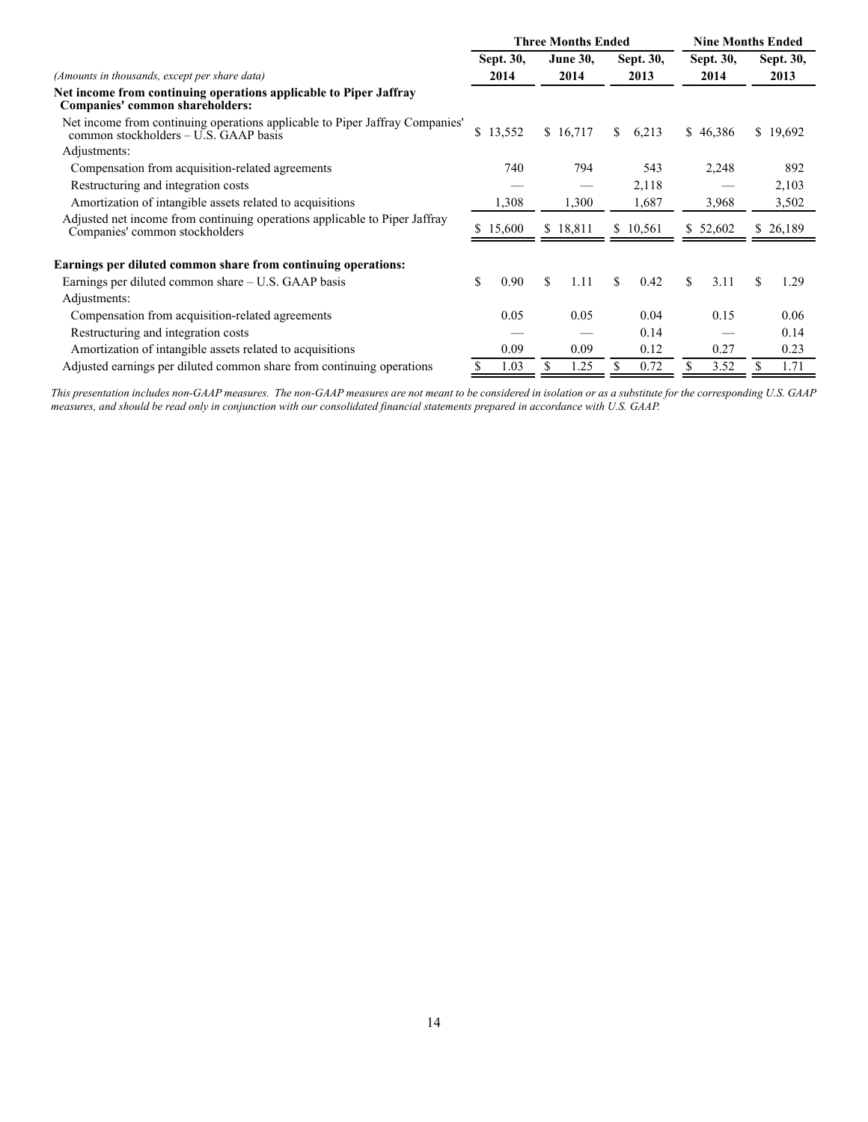|                                                                                                                       |    |           | <b>Three Months Ended</b> |           |          | <b>Nine Months Ended</b> |          |    |           |  |
|-----------------------------------------------------------------------------------------------------------------------|----|-----------|---------------------------|-----------|----------|--------------------------|----------|----|-----------|--|
|                                                                                                                       |    | Sept. 30, | <b>June 30,</b>           | Sept. 30, |          | Sept. 30,                |          |    | Sept. 30, |  |
| (Amounts in thousands, except per share data)                                                                         |    | 2014      | 2014                      |           | 2013     |                          | 2014     |    | 2013      |  |
| Net income from continuing operations applicable to Piper Jaffray<br>Companies' common shareholders:                  |    |           |                           |           |          |                          |          |    |           |  |
| Net income from continuing operations applicable to Piper Jaffray Companies'<br>common stockholders – U.S. GAAP basis | \$ | 13,552    | \$16,717                  | S.        | 6,213    |                          | \$46,386 |    | \$19,692  |  |
| Adjustments:                                                                                                          |    |           |                           |           |          |                          |          |    |           |  |
| Compensation from acquisition-related agreements                                                                      |    | 740       | 794                       |           | 543      |                          | 2,248    |    | 892       |  |
| Restructuring and integration costs                                                                                   |    |           |                           |           | 2,118    |                          |          |    | 2,103     |  |
| Amortization of intangible assets related to acquisitions                                                             |    | 1,308     | 1,300                     |           | 1,687    |                          | 3,968    |    | 3,502     |  |
| Adjusted net income from continuing operations applicable to Piper Jaffray<br>Companies' common stockholders          | S. | 15,600    | \$18,811                  |           | \$10,561 |                          | \$52,602 |    | \$26,189  |  |
| Earnings per diluted common share from continuing operations:                                                         |    |           |                           |           |          |                          |          |    |           |  |
| Earnings per diluted common share $- U.S. GAAP$ basis                                                                 | \$ | 0.90      | \$<br>1.11                | S.        | 0.42     | \$.                      | 3.11     | \$ | 1.29      |  |
| Adjustments:                                                                                                          |    |           |                           |           |          |                          |          |    |           |  |
| Compensation from acquisition-related agreements                                                                      |    | 0.05      | 0.05                      |           | 0.04     |                          | 0.15     |    | 0.06      |  |
| Restructuring and integration costs                                                                                   |    |           |                           |           | 0.14     |                          |          |    | 0.14      |  |
| Amortization of intangible assets related to acquisitions                                                             |    | 0.09      | 0.09                      |           | 0.12     |                          | 0.27     |    | 0.23      |  |
| Adjusted earnings per diluted common share from continuing operations                                                 |    | 1.03      | \$<br>1.25                |           | 0.72     |                          | 3.52     |    | 1.71      |  |

*This presentation includes non-GAAP measures. The non-GAAP measures are not meant to be considered in isolation or as a substitute for the corresponding U.S. GAAP measures, and should be read only in conjunction with our consolidated financial statements prepared in accordance with U.S. GAAP.*